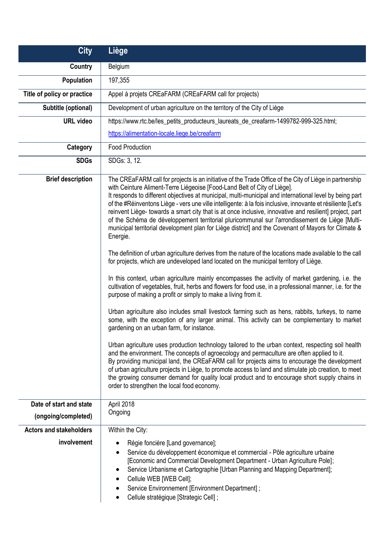| <b>City</b>                    | Liège                                                                                                                                                                                                                                                                                                                                                                                                                                                                                                                                                                                                                                                                                                                                                                                                                                                                                                                                                                                                                                                                                                                                                                                                                                                                                                                                                                                                                                                                                                                                                                                                                                                                                                                                                                                                                                                                                                                                                                                                                                             |
|--------------------------------|---------------------------------------------------------------------------------------------------------------------------------------------------------------------------------------------------------------------------------------------------------------------------------------------------------------------------------------------------------------------------------------------------------------------------------------------------------------------------------------------------------------------------------------------------------------------------------------------------------------------------------------------------------------------------------------------------------------------------------------------------------------------------------------------------------------------------------------------------------------------------------------------------------------------------------------------------------------------------------------------------------------------------------------------------------------------------------------------------------------------------------------------------------------------------------------------------------------------------------------------------------------------------------------------------------------------------------------------------------------------------------------------------------------------------------------------------------------------------------------------------------------------------------------------------------------------------------------------------------------------------------------------------------------------------------------------------------------------------------------------------------------------------------------------------------------------------------------------------------------------------------------------------------------------------------------------------------------------------------------------------------------------------------------------------|
| Country                        | Belgium                                                                                                                                                                                                                                                                                                                                                                                                                                                                                                                                                                                                                                                                                                                                                                                                                                                                                                                                                                                                                                                                                                                                                                                                                                                                                                                                                                                                                                                                                                                                                                                                                                                                                                                                                                                                                                                                                                                                                                                                                                           |
| <b>Population</b>              | 197,355                                                                                                                                                                                                                                                                                                                                                                                                                                                                                                                                                                                                                                                                                                                                                                                                                                                                                                                                                                                                                                                                                                                                                                                                                                                                                                                                                                                                                                                                                                                                                                                                                                                                                                                                                                                                                                                                                                                                                                                                                                           |
| Title of policy or practice    | Appel à projets CREaFARM (CREaFARM call for projects)                                                                                                                                                                                                                                                                                                                                                                                                                                                                                                                                                                                                                                                                                                                                                                                                                                                                                                                                                                                                                                                                                                                                                                                                                                                                                                                                                                                                                                                                                                                                                                                                                                                                                                                                                                                                                                                                                                                                                                                             |
| Subtitle (optional)            | Development of urban agriculture on the territory of the City of Liège                                                                                                                                                                                                                                                                                                                                                                                                                                                                                                                                                                                                                                                                                                                                                                                                                                                                                                                                                                                                                                                                                                                                                                                                                                                                                                                                                                                                                                                                                                                                                                                                                                                                                                                                                                                                                                                                                                                                                                            |
| <b>URL video</b>               | https://www.rtc.be/les_petits_producteurs_laureats_de_creafarm-1499782-999-325.html;                                                                                                                                                                                                                                                                                                                                                                                                                                                                                                                                                                                                                                                                                                                                                                                                                                                                                                                                                                                                                                                                                                                                                                                                                                                                                                                                                                                                                                                                                                                                                                                                                                                                                                                                                                                                                                                                                                                                                              |
|                                | https://alimentation-locale.liege.be/creafarm                                                                                                                                                                                                                                                                                                                                                                                                                                                                                                                                                                                                                                                                                                                                                                                                                                                                                                                                                                                                                                                                                                                                                                                                                                                                                                                                                                                                                                                                                                                                                                                                                                                                                                                                                                                                                                                                                                                                                                                                     |
| Category                       | <b>Food Production</b>                                                                                                                                                                                                                                                                                                                                                                                                                                                                                                                                                                                                                                                                                                                                                                                                                                                                                                                                                                                                                                                                                                                                                                                                                                                                                                                                                                                                                                                                                                                                                                                                                                                                                                                                                                                                                                                                                                                                                                                                                            |
| <b>SDGs</b>                    | SDGs: 3, 12.                                                                                                                                                                                                                                                                                                                                                                                                                                                                                                                                                                                                                                                                                                                                                                                                                                                                                                                                                                                                                                                                                                                                                                                                                                                                                                                                                                                                                                                                                                                                                                                                                                                                                                                                                                                                                                                                                                                                                                                                                                      |
| <b>Brief description</b>       | The CREaFARM call for projects is an initiative of the Trade Office of the City of Liège in partnership<br>with Ceinture Aliment-Terre Liégeoise [Food-Land Belt of City of Liège].<br>It responds to different objectives at municipal, multi-municipal and international level by being part<br>of the #Réinventons Liège - vers une ville intelligente: à la fois inclusive, innovante et résiliente [Let's<br>reinvent Liège- towards a smart city that is at once inclusive, innovative and resilient] project, part<br>of the Schéma de développement territorial pluricommunal sur l'arrondissement de Liège [Multi-<br>municipal territorial development plan for Liège district] and the Covenant of Mayors for Climate &<br>Energie.<br>The definition of urban agriculture derives from the nature of the locations made available to the call<br>for projects, which are undeveloped land located on the municipal territory of Liège.<br>In this context, urban agriculture mainly encompasses the activity of market gardening, i.e. the<br>cultivation of vegetables, fruit, herbs and flowers for food use, in a professional manner, i.e. for the<br>purpose of making a profit or simply to make a living from it.<br>Urban agriculture also includes small livestock farming such as hens, rabbits, turkeys, to name<br>some, with the exception of any larger animal. This activity can be complementary to market<br>gardening on an urban farm, for instance.<br>Urban agriculture uses production technology tailored to the urban context, respecting soil health<br>and the environment. The concepts of agroecology and permaculture are often applied to it.<br>By providing municipal land, the CREaFARM call for projects aims to encourage the development<br>of urban agriculture projects in Liège, to promote access to land and stimulate job creation, to meet<br>the growing consumer demand for quality local product and to encourage short supply chains in<br>order to strengthen the local food economy. |
| Date of start and state        | April 2018                                                                                                                                                                                                                                                                                                                                                                                                                                                                                                                                                                                                                                                                                                                                                                                                                                                                                                                                                                                                                                                                                                                                                                                                                                                                                                                                                                                                                                                                                                                                                                                                                                                                                                                                                                                                                                                                                                                                                                                                                                        |
| (ongoing/completed)            | Ongoing                                                                                                                                                                                                                                                                                                                                                                                                                                                                                                                                                                                                                                                                                                                                                                                                                                                                                                                                                                                                                                                                                                                                                                                                                                                                                                                                                                                                                                                                                                                                                                                                                                                                                                                                                                                                                                                                                                                                                                                                                                           |
| <b>Actors and stakeholders</b> | Within the City:                                                                                                                                                                                                                                                                                                                                                                                                                                                                                                                                                                                                                                                                                                                                                                                                                                                                                                                                                                                                                                                                                                                                                                                                                                                                                                                                                                                                                                                                                                                                                                                                                                                                                                                                                                                                                                                                                                                                                                                                                                  |
| involvement                    | Régie foncière [Land governance];<br>Service du développement économique et commercial - Pôle agriculture urbaine<br>$\bullet$<br>[Economic and Commercial Development Department - Urban Agriculture Pole];<br>Service Urbanisme et Cartographie [Urban Planning and Mapping Department];<br>Cellule WEB [WEB Cell];<br>Service Environnement [Environment Department];<br>Cellule stratégique [Strategic Cell] ;                                                                                                                                                                                                                                                                                                                                                                                                                                                                                                                                                                                                                                                                                                                                                                                                                                                                                                                                                                                                                                                                                                                                                                                                                                                                                                                                                                                                                                                                                                                                                                                                                                |